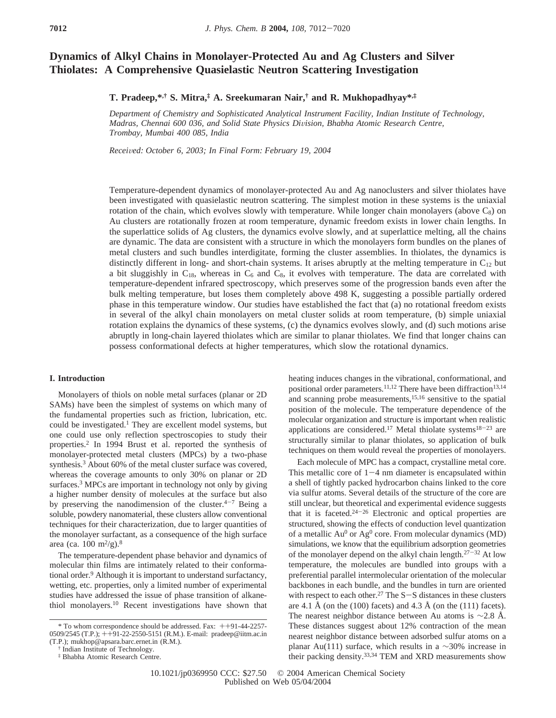# **Dynamics of Alkyl Chains in Monolayer-Protected Au and Ag Clusters and Silver Thiolates: A Comprehensive Quasielastic Neutron Scattering Investigation**

**T. Pradeep,\*,† S. Mitra,‡ A. Sreekumaran Nair,† and R. Mukhopadhyay\*,‡**

*Department of Chemistry and Sophisticated Analytical Instrument Facility, Indian Institute of Technology, Madras, Chennai 600 036, and Solid State Physics Di*V*ision, Bhabha Atomic Research Centre, Trombay, Mumbai 400 085, India*

*Recei*V*ed: October 6, 2003; In Final Form: February 19, 2004*

Temperature-dependent dynamics of monolayer-protected Au and Ag nanoclusters and silver thiolates have been investigated with quasielastic neutron scattering. The simplest motion in these systems is the uniaxial rotation of the chain, which evolves slowly with temperature. While longer chain monolayers (above  $C_8$ ) on Au clusters are rotationally frozen at room temperature, dynamic freedom exists in lower chain lengths. In the superlattice solids of Ag clusters, the dynamics evolve slowly, and at superlattice melting, all the chains are dynamic. The data are consistent with a structure in which the monolayers form bundles on the planes of metal clusters and such bundles interdigitate, forming the cluster assemblies. In thiolates, the dynamics is distinctly different in long- and short-chain systems. It arises abruptly at the melting temperature in  $C_{12}$  but a bit sluggishly in  $C_{18}$ , whereas in  $C_6$  and  $C_8$ , it evolves with temperature. The data are correlated with temperature-dependent infrared spectroscopy, which preserves some of the progression bands even after the bulk melting temperature, but loses them completely above 498 K, suggesting a possible partially ordered phase in this temperature window. Our studies have established the fact that (a) no rotational freedom exists in several of the alkyl chain monolayers on metal cluster solids at room temperature, (b) simple uniaxial rotation explains the dynamics of these systems, (c) the dynamics evolves slowly, and (d) such motions arise abruptly in long-chain layered thiolates which are similar to planar thiolates. We find that longer chains can possess conformational defects at higher temperatures, which slow the rotational dynamics.

## **I. Introduction**

Monolayers of thiols on noble metal surfaces (planar or 2D SAMs) have been the simplest of systems on which many of the fundamental properties such as friction, lubrication, etc. could be investigated.1 They are excellent model systems, but one could use only reflection spectroscopies to study their properties.2 In 1994 Brust et al. reported the synthesis of monolayer-protected metal clusters (MPCs) by a two-phase synthesis.<sup>3</sup> About 60% of the metal cluster surface was covered, whereas the coverage amounts to only 30% on planar or 2D surfaces.<sup>3</sup> MPCs are important in technology not only by giving a higher number density of molecules at the surface but also by preserving the nanodimension of the cluster. $4-7$  Being a soluble, powdery nanomaterial, these clusters allow conventional techniques for their characterization, due to larger quantities of the monolayer surfactant, as a consequence of the high surface area (ca. 100 m<sup>2</sup>/g).<sup>8</sup>

The temperature-dependent phase behavior and dynamics of molecular thin films are intimately related to their conformational order.9 Although it is important to understand surfactancy, wetting, etc. properties, only a limited number of experimental studies have addressed the issue of phase transition of alkanethiol monolayers.10 Recent investigations have shown that

† Indian Institute of Technology.

heating induces changes in the vibrational, conformational, and positional order parameters.<sup>11,12</sup> There have been diffraction<sup>13,14</sup> and scanning probe measurements,<sup>15,16</sup> sensitive to the spatial position of the molecule. The temperature dependence of the molecular organization and structure is important when realistic applications are considered.<sup>17</sup> Metal thiolate systems<sup>18-23</sup> are structurally similar to planar thiolates, so application of bulk techniques on them would reveal the properties of monolayers.

Each molecule of MPC has a compact, crystalline metal core. This metallic core of  $1-4$  nm diameter is encapsulated within a shell of tightly packed hydrocarbon chains linked to the core via sulfur atoms. Several details of the structure of the core are still unclear, but theoretical and experimental evidence suggests that it is faceted. $24-26$  Electronic and optical properties are structured, showing the effects of conduction level quantization of a metallic  $Au^0$  or  $Ag^0$  core. From molecular dynamics (MD) simulations, we know that the equilibrium adsorption geometries of the monolayer depend on the alkyl chain length. $27-32$  At low temperature, the molecules are bundled into groups with a preferential parallel intermolecular orientation of the molecular backbones in each bundle, and the bundles in turn are oriented with respect to each other.<sup>27</sup> The  $S-S$  distances in these clusters are 4.1 Å (on the  $(100)$  facets) and 4.3 Å (on the  $(111)$  facets). The nearest neighbor distance between Au atoms is  $\sim$ 2.8 Å. These distances suggest about 12% contraction of the mean nearest neighbor distance between adsorbed sulfur atoms on a planar Au(111) surface, which results in a ∼30% increase in their packing density.33,34 TEM and XRD measurements show

<sup>\*</sup> To whom correspondence should be addressed. Fax: ++91-44-2257- 0509/2545 (T.P.); ++91-22-2550-5151 (R.M.). E-mail: pradeep@iitm.ac.in (T.P.); mukhop@apsara.barc.ernet.in (R.M.).

<sup>‡</sup> Bhabha Atomic Research Centre.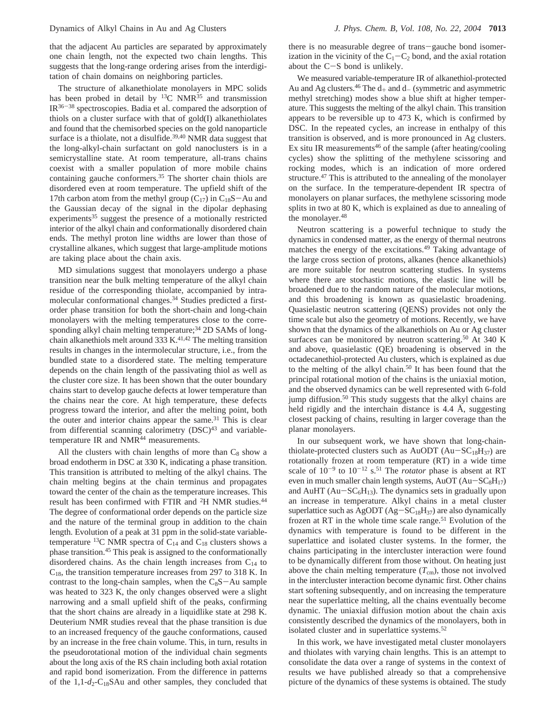that the adjacent Au particles are separated by approximately one chain length, not the expected two chain lengths. This suggests that the long-range ordering arises from the interdigitation of chain domains on neighboring particles.

The structure of alkanethiolate monolayers in MPC solids has been probed in detail by  ${}^{13}C$  NMR<sup>35</sup> and transmission IR36-<sup>38</sup> spectroscopies. Badia et al. compared the adsorption of thiols on a cluster surface with that of gold(I) alkanethiolates and found that the chemisorbed species on the gold nanoparticle surface is a thiolate, not a disulfide.<sup>39,40</sup> NMR data suggest that the long-alkyl-chain surfactant on gold nanoclusters is in a semicrystalline state. At room temperature, all-trans chains coexist with a smaller population of more mobile chains containing gauche conformers.<sup>35</sup> The shorter chain thiols are disordered even at room temperature. The upfield shift of the 17th carbon atom from the methyl group  $(C_{17})$  in  $C_{18}S$ -Au and the Gaussian decay of the signal in the dipolar dephasing experiments<sup>35</sup> suggest the presence of a motionally restricted interior of the alkyl chain and conformationally disordered chain ends. The methyl proton line widths are lower than those of crystalline alkanes, which suggest that large-amplitude motions are taking place about the chain axis.

MD simulations suggest that monolayers undergo a phase transition near the bulk melting temperature of the alkyl chain residue of the corresponding thiolate, accompanied by intramolecular conformational changes.34 Studies predicted a firstorder phase transition for both the short-chain and long-chain monolayers with the melting temperatures close to the corresponding alkyl chain melting temperature;<sup>34</sup> 2D SAMs of longchain alkanethiols melt around 333 K. $41,42$  The melting transition results in changes in the intermolecular structure, i.e., from the bundled state to a disordered state. The melting temperature depends on the chain length of the passivating thiol as well as the cluster core size. It has been shown that the outer boundary chains start to develop gauche defects at lower temperature than the chains near the core. At high temperature, these defects progress toward the interior, and after the melting point, both the outer and interior chains appear the same.<sup>31</sup> This is clear from differential scanning calorimetry  $(DSC)^{43}$  and variabletemperature IR and NMR<sup>44</sup> measurements.

All the clusters with chain lengths of more than  $C_8$  show a broad endotherm in DSC at 330 K, indicating a phase transition. This transition is attributed to melting of the alkyl chains. The chain melting begins at the chain terminus and propagates toward the center of the chain as the temperature increases. This result has been confirmed with FTIR and 2H NMR studies.44 The degree of conformational order depends on the particle size and the nature of the terminal group in addition to the chain length. Evolution of a peak at 31 ppm in the solid-state variabletemperature <sup>13</sup>C NMR spectra of  $C_{14}$  and  $C_{18}$  clusters shows a phase transition.45 This peak is assigned to the conformationally disordered chains. As the chain length increases from  $C_{14}$  to  $C_{18}$ , the transition temperature increases from 297 to 318 K. In contrast to the long-chain samples, when the  $C_8S-Au$  sample was heated to 323 K, the only changes observed were a slight narrowing and a small upfield shift of the peaks, confirming that the short chains are already in a liquidlike state at 298 K. Deuterium NMR studies reveal that the phase transition is due to an increased frequency of the gauche conformations, caused by an increase in the free chain volume. This, in turn, results in the pseudorotational motion of the individual chain segments about the long axis of the RS chain including both axial rotation and rapid bond isomerization. From the difference in patterns of the 1,1-*d*2-C18SAu and other samples, they concluded that

there is no measurable degree of trans-gauche bond isomerization in the vicinity of the  $C_1-C_2$  bond, and the axial rotation about the C-S bond is unlikely.

We measured variable-temperature IR of alkanethiol-protected Au and Ag clusters.<sup>46</sup> The  $d_+$  and  $d_-$  (symmetric and asymmetric methyl stretching) modes show a blue shift at higher temperature. This suggests the melting of the alkyl chain. This transition appears to be reversible up to 473 K, which is confirmed by DSC. In the repeated cycles, an increase in enthalpy of this transition is observed, and is more pronounced in Ag clusters. Ex situ IR measurements<sup>46</sup> of the sample (after heating/cooling cycles) show the splitting of the methylene scissoring and rocking modes, which is an indication of more ordered structure.47 This is attributed to the annealing of the monolayer on the surface. In the temperature-dependent IR spectra of monolayers on planar surfaces, the methylene scissoring mode splits in two at 80 K, which is explained as due to annealing of the monolayer.<sup>48</sup>

Neutron scattering is a powerful technique to study the dynamics in condensed matter, as the energy of thermal neutrons matches the energy of the excitations.49 Taking advantage of the large cross section of protons, alkanes (hence alkanethiols) are more suitable for neutron scattering studies. In systems where there are stochastic motions, the elastic line will be broadened due to the random nature of the molecular motions, and this broadening is known as quasielastic broadening. Quasielastic neutron scattering (QENS) provides not only the time scale but also the geometry of motions. Recently, we have shown that the dynamics of the alkanethiols on Au or Ag cluster surfaces can be monitored by neutron scattering.<sup>50</sup> At 340 K and above, quasielastic (QE) broadening is observed in the octadecanethiol-protected Au clusters, which is explained as due to the melting of the alkyl chain.50 It has been found that the principal rotational motion of the chains is the uniaxial motion, and the observed dynamics can be well represented with 6-fold jump diffusion.<sup>50</sup> This study suggests that the alkyl chains are held rigidly and the interchain distance is 4.4 Å, suggesting closest packing of chains, resulting in larger coverage than the planar monolayers.

In our subsequent work, we have shown that long-chainthiolate-protected clusters such as AuODT  $(Au-SC_{18}H_{37})$  are rotationally frozen at room temperature (RT) in a wide time scale of  $10^{-9}$  to  $10^{-12}$  s.<sup>51</sup> The *rotator* phase is absent at RT even in much smaller chain length systems, AuOT  $(Au-SC_8H_{17})$ and AuHT ( $Au-SC<sub>6</sub>H<sub>13</sub>$ ). The dynamics sets in gradually upon an increase in temperature. Alkyl chains in a metal cluster superlattice such as AgODT ( $Ag-SC_{18}H_{37}$ ) are also dynamically frozen at RT in the whole time scale range.<sup>51</sup> Evolution of the dynamics with temperature is found to be different in the superlattice and isolated cluster systems. In the former, the chains participating in the intercluster interaction were found to be dynamically different from those without. On heating just above the chain melting temperature  $(T_{cm})$ , those not involved in the intercluster interaction become dynamic first. Other chains start softening subsequently, and on increasing the temperature near the superlattice melting, all the chains eventually become dynamic. The uniaxial diffusion motion about the chain axis consistently described the dynamics of the monolayers, both in isolated cluster and in superlattice systems.52

In this work, we have investigated metal cluster monolayers and thiolates with varying chain lengths. This is an attempt to consolidate the data over a range of systems in the context of results we have published already so that a comprehensive picture of the dynamics of these systems is obtained. The study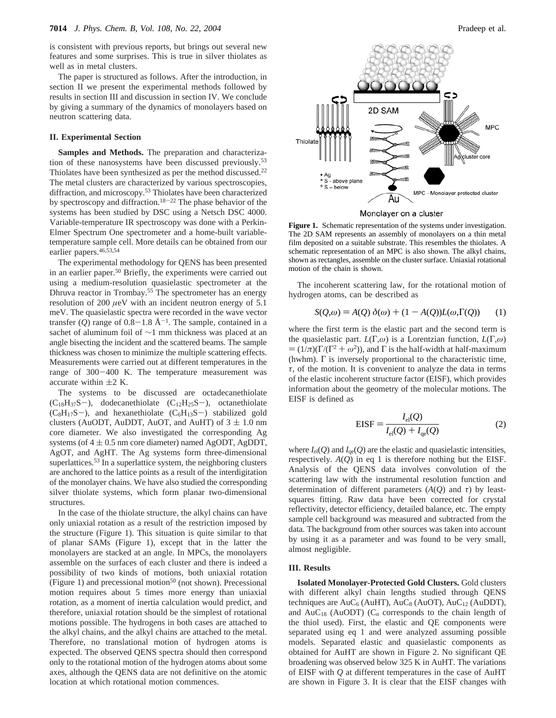is consistent with previous reports, but brings out several new features and some surprises. This is true in silver thiolates as well as in metal clusters.

The paper is structured as follows. After the introduction, in section II we present the experimental methods followed by results in section III and discussion in section IV. We conclude by giving a summary of the dynamics of monolayers based on neutron scattering data.

### **II. Experimental Section**

**Samples and Methods.** The preparation and characterization of these nanosystems have been discussed previously.53 Thiolates have been synthesized as per the method discussed.<sup>22</sup> The metal clusters are characterized by various spectroscopies, diffraction, and microscopy.<sup>53</sup> Thiolates have been characterized by spectroscopy and diffraction.<sup>18-22</sup> The phase behavior of the systems has been studied by DSC using a Netsch DSC 4000. Variable-temperature IR spectroscopy was done with a Perkin-Elmer Spectrum One spectrometer and a home-built variabletemperature sample cell. More details can be obtained from our earlier papers. 46,53,54

The experimental methodology for QENS has been presented in an earlier paper.50 Briefly, the experiments were carried out using a medium-resolution quasielastic spectrometer at the Dhruva reactor in Trombay.<sup>55</sup> The spectrometer has an energy resolution of 200 *µ*eV with an incident neutron energy of 5.1 meV. The quasielastic spectra were recorded in the wave vector transfer (Q) range of  $0.8-1.8$   $\rm \AA^{-1}$ . The sample, contained in a sachet of aluminum foil of ∼1 mm thickness was placed at an angle bisecting the incident and the scattered beams. The sample thickness was chosen to minimize the multiple scattering effects. Measurements were carried out at different temperatures in the range of 300-400 K. The temperature measurement was accurate within  $\pm 2$  K.

The systems to be discussed are octadecanethiolate  $(C_{18}H_{37}S-)$ , dodecanethiolate  $(C_{12}H_{25}S-)$ , octanethiolate  $(C_8H_{17}S-)$ , and hexanethiolate  $(C_6H_{13}S-)$  stabilized gold clusters (AuODT, AuDDT, AuOT, and AuHT) of  $3 \pm 1.0$  nm core diameter. We also investigated the corresponding Ag systems (of  $4 \pm 0.5$  nm core diameter) named AgODT, AgDDT, AgOT, and AgHT. The Ag systems form three-dimensional superlattices.<sup>53</sup> In a superlattice system, the neighboring clusters are anchored to the lattice points as a result of the interdigitation of the monolayer chains. We have also studied the corresponding silver thiolate systems, which form planar two-dimensional structures.

In the case of the thiolate structure, the alkyl chains can have only uniaxial rotation as a result of the restriction imposed by the structure (Figure 1). This situation is quite similar to that of planar SAMs (Figure 1), except that in the latter the monolayers are stacked at an angle. In MPCs, the monolayers assemble on the surfaces of each cluster and there is indeed a possibility of two kinds of motions, both uniaxial rotation (Figure 1) and precessional motion<sup>50</sup> (not shown). Precessional motion requires about 5 times more energy than uniaxial rotation, as a moment of inertia calculation would predict, and therefore, uniaxial rotation should be the simplest of rotational motions possible. The hydrogens in both cases are attached to the alkyl chains, and the alkyl chains are attached to the metal. Therefore, no translational motion of hydrogen atoms is expected. The observed QENS spectra should then correspond only to the rotational motion of the hydrogen atoms about some axes, although the QENS data are not definitive on the atomic location at which rotational motion commences.



Monolayer on a cluster

**Figure 1.** Schematic representation of the systems under investigation. The 2D SAM represents an assembly of monolayers on a thin metal film deposited on a suitable substrate. This resembles the thiolates. A schematic representation of an MPC is also shown. The alkyl chains, shown as rectangles, assemble on the cluster surface. Uniaxial rotational motion of the chain is shown.

The incoherent scattering law, for the rotational motion of hydrogen atoms, can be described as

$$
S(Q,\omega) = A(Q)\,\delta(\omega) + (1 - A(Q))L(\omega,\Gamma(Q)) \qquad (1)
$$

where the first term is the elastic part and the second term is the quasielastic part. *L*(Γ,*ω*) is a Lorentzian function, *L*(Γ,*ω*)  $= (1/\pi)(\Gamma/(\Gamma^2 + \omega^2))$ , and  $\Gamma$  is the half-width at half-maximum (hwhm).  $\Gamma$  is inversely proportional to the characteristic time, *τ*, of the motion. It is convenient to analyze the data in terms of the elastic incoherent structure factor (EISF), which provides information about the geometry of the molecular motions. The EISF is defined as

$$
EISF = \frac{I_{el}(Q)}{I_{el}(Q) + I_{qe}(Q)}
$$
 (2)

where  $I_{el}(Q)$  and  $I_{ae}(Q)$  are the elastic and quasielastic intensities, respectively. *A*(*Q*) in eq 1 is therefore nothing but the EISF. Analysis of the QENS data involves convolution of the scattering law with the instrumental resolution function and determination of different parameters  $(A(Q)$  and  $\tau)$  by leastsquares fitting. Raw data have been corrected for crystal reflectivity, detector efficiency, detailed balance, etc. The empty sample cell background was measured and subtracted from the data. The background from other sources was taken into account by using it as a parameter and was found to be very small, almost negligible.

## **III. Results**

**Isolated Monolayer-Protected Gold Clusters.** Gold clusters with different alkyl chain lengths studied through QENS techniques are  $AuC_6$  (AuHT),  $AuC_8$  (AuOT),  $AuC_{12}$  (AuDDT), and  $AuC_{18}$  (AuODT) ( $C_n$  corresponds to the chain length of the thiol used). First, the elastic and QE components were separated using eq 1 and were analyzed assuming possible models. Separated elastic and quasielastic components as obtained for AuHT are shown in Figure 2. No significant QE broadening was observed below 325 K in AuHT. The variations of EISF with *Q* at different temperatures in the case of AuHT are shown in Figure 3. It is clear that the EISF changes with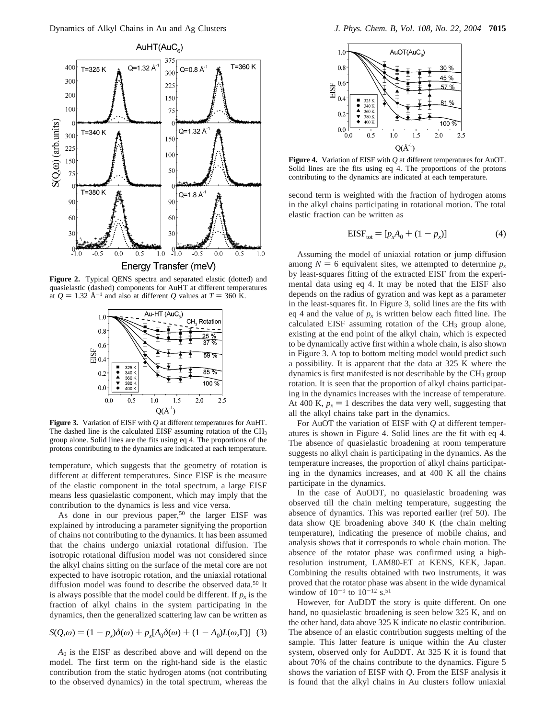

**Figure 2.** Typical QENS spectra and separated elastic (dotted) and quasielastic (dashed) components for AuHT at different temperatures at  $Q = 1.32 \text{ Å}^{-1}$  and also at different *Q* values at  $T = 360 \text{ K}$ .



**Figure 3.** Variation of EISF with *Q* at different temperatures for AuHT. The dashed line is the calculated EISF assuming rotation of the CH3 group alone. Solid lines are the fits using eq 4. The proportions of the protons contributing to the dynamics are indicated at each temperature.

temperature, which suggests that the geometry of rotation is different at different temperatures. Since EISF is the measure of the elastic component in the total spectrum, a large EISF means less quasielastic component, which may imply that the contribution to the dynamics is less and vice versa.

As done in our previous paper,<sup>50</sup> the larger EISF was explained by introducing a parameter signifying the proportion of chains not contributing to the dynamics. It has been assumed that the chains undergo uniaxial rotational diffusion. The isotropic rotational diffusion model was not considered since the alkyl chains sitting on the surface of the metal core are not expected to have isotropic rotation, and the uniaxial rotational diffusion model was found to describe the observed data.<sup>50</sup> It is always possible that the model could be different. If  $p_x$  is the fraction of alkyl chains in the system participating in the dynamics, then the generalized scattering law can be written as

$$
S(Q,\omega) = (1 - p_x)\delta(\omega) + p_x[A_0\delta(\omega) + (1 - A_0)L(\omega,\Gamma)]
$$
 (3)

*A*<sup>0</sup> is the EISF as described above and will depend on the model. The first term on the right-hand side is the elastic contribution from the static hydrogen atoms (not contributing to the observed dynamics) in the total spectrum, whereas the



**Figure 4.** Variation of EISF with *Q* at different temperatures for AuOT. Solid lines are the fits using eq 4. The proportions of the protons contributing to the dynamics are indicated at each temperature.

second term is weighted with the fraction of hydrogen atoms in the alkyl chains participating in rotational motion. The total elastic fraction can be written as

$$
EISF_{\text{tot}} = [p_x A_0 + (1 - p_x)]
$$
 (4)

Assuming the model of uniaxial rotation or jump diffusion among  $N = 6$  equivalent sites, we attempted to determine  $p_x$ by least-squares fitting of the extracted EISF from the experimental data using eq 4. It may be noted that the EISF also depends on the radius of gyration and was kept as a parameter in the least-squares fit. In Figure 3, solid lines are the fits with eq 4 and the value of  $p_x$  is written below each fitted line. The calculated EISF assuming rotation of the CH<sub>3</sub> group alone, existing at the end point of the alkyl chain, which is expected to be dynamically active first within a whole chain, is also shown in Figure 3. A top to bottom melting model would predict such a possibility. It is apparent that the data at 325 K where the dynamics is first manifested is not describable by the  $CH<sub>3</sub>$  group rotation. It is seen that the proportion of alkyl chains participating in the dynamics increases with the increase of temperature. At 400 K,  $p_x = 1$  describes the data very well, suggesting that all the alkyl chains take part in the dynamics.

For AuOT the variation of EISF with *Q* at different temperatures is shown in Figure 4. Solid lines are the fit with eq 4. The absence of quasielastic broadening at room temperature suggests no alkyl chain is participating in the dynamics. As the temperature increases, the proportion of alkyl chains participating in the dynamics increases, and at 400 K all the chains participate in the dynamics.

In the case of AuODT, no quasielastic broadening was observed till the chain melting temperature, suggesting the absence of dynamics. This was reported earlier (ref 50). The data show QE broadening above 340 K (the chain melting temperature), indicating the presence of mobile chains, and analysis shows that it corresponds to whole chain motion. The absence of the rotator phase was confirmed using a highresolution instrument, LAM80-ET at KENS, KEK, Japan. Combining the results obtained with two instruments, it was proved that the rotator phase was absent in the wide dynamical window of  $10^{-9}$  to  $10^{-12}$  s.<sup>51</sup>

However, for AuDDT the story is quite different. On one hand, no quasielastic broadening is seen below 325 K, and on the other hand, data above 325 K indicate no elastic contribution. The absence of an elastic contribution suggests melting of the sample. This latter feature is unique within the Au cluster system, observed only for AuDDT. At 325 K it is found that about 70% of the chains contribute to the dynamics. Figure 5 shows the variation of EISF with *Q*. From the EISF analysis it is found that the alkyl chains in Au clusters follow uniaxial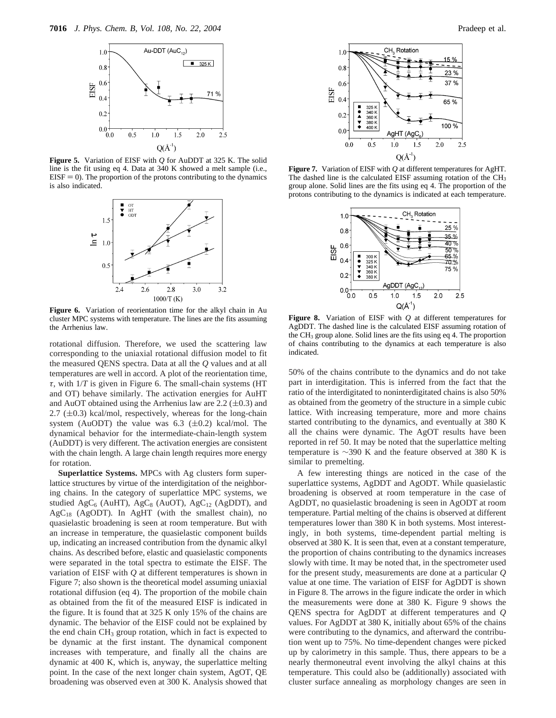

**Figure 5.** Variation of EISF with *Q* for AuDDT at 325 K. The solid line is the fit using eq 4. Data at 340 K showed a melt sample (i.e.,  $EISF = 0$ ). The proportion of the protons contributing to the dynamics is also indicated.



**Figure 6.** Variation of reorientation time for the alkyl chain in Au cluster MPC systems with temperature. The lines are the fits assuming the Arrhenius law.

rotational diffusion. Therefore, we used the scattering law corresponding to the uniaxial rotational diffusion model to fit the measured QENS spectra. Data at all the *Q* values and at all temperatures are well in accord. A plot of the reorientation time, *τ*, with 1/*T* is given in Figure 6. The small-chain systems (HT and OT) behave similarly. The activation energies for AuHT and AuOT obtained using the Arrhenius law are  $2.2$  ( $\pm$ 0.3) and 2.7 ( $\pm$ 0.3) kcal/mol, respectively, whereas for the long-chain system (AuODT) the value was  $6.3$  ( $\pm$ 0.2) kcal/mol. The dynamical behavior for the intermediate-chain-length system (AuDDT) is very different. The activation energies are consistent with the chain length. A large chain length requires more energy for rotation.

**Superlattice Systems.** MPCs with Ag clusters form superlattice structures by virtue of the interdigitation of the neighboring chains. In the category of superlattice MPC systems, we studied AgC<sub>6</sub> (AuHT), AgC<sub>8</sub> (AuOT), AgC<sub>12</sub> (AgDDT), and  $AgC_{18}$  (AgODT). In AgHT (with the smallest chain), no quasielastic broadening is seen at room temperature. But with an increase in temperature, the quasielastic component builds up, indicating an increased contribution from the dynamic alkyl chains. As described before, elastic and quasielastic components were separated in the total spectra to estimate the EISF. The variation of EISF with *Q* at different temperatures is shown in Figure 7; also shown is the theoretical model assuming uniaxial rotational diffusion (eq 4). The proportion of the mobile chain as obtained from the fit of the measured EISF is indicated in the figure. It is found that at 325 K only 15% of the chains are dynamic. The behavior of the EISF could not be explained by the end chain  $CH<sub>3</sub>$  group rotation, which in fact is expected to be dynamic at the first instant. The dynamical component increases with temperature, and finally all the chains are dynamic at 400 K, which is, anyway, the superlattice melting point. In the case of the next longer chain system, AgOT, QE broadening was observed even at 300 K. Analysis showed that



**Figure 7.** Variation of EISF with *Q* at different temperatures for AgHT. The dashed line is the calculated EISF assuming rotation of the CH3 group alone. Solid lines are the fits using eq 4. The proportion of the protons contributing to the dynamics is indicated at each temperature.



**Figure 8.** Variation of EISF with *Q* at different temperatures for AgDDT. The dashed line is the calculated EISF assuming rotation of the CH3 group alone. Solid lines are the fits using eq 4. The proportion of chains contributing to the dynamics at each temperature is also indicated.

50% of the chains contribute to the dynamics and do not take part in interdigitation. This is inferred from the fact that the ratio of the interdigitated to noninterdigitated chains is also 50% as obtained from the geometry of the structure in a simple cubic lattice. With increasing temperature, more and more chains started contributing to the dynamics, and eventually at 380 K all the chains were dynamic. The AgOT results have been reported in ref 50. It may be noted that the superlattice melting temperature is ∼390 K and the feature observed at 380 K is similar to premelting.

A few interesting things are noticed in the case of the superlattice systems, AgDDT and AgODT. While quasielastic broadening is observed at room temperature in the case of AgDDT, no quasielastic broadening is seen in AgODT at room temperature. Partial melting of the chains is observed at different temperatures lower than 380 K in both systems. Most interestingly, in both systems, time-dependent partial melting is observed at 380 K. It is seen that, even at a constant temperature, the proportion of chains contributing to the dynamics increases slowly with time. It may be noted that, in the spectrometer used for the present study, measurements are done at a particular *Q* value at one time. The variation of EISF for AgDDT is shown in Figure 8. The arrows in the figure indicate the order in which the measurements were done at 380 K. Figure 9 shows the QENS spectra for AgDDT at different temperatures and *Q* values. For AgDDT at 380 K, initially about 65% of the chains were contributing to the dynamics, and afterward the contribution went up to 75%. No time-dependent changes were picked up by calorimetry in this sample. Thus, there appears to be a nearly thermoneutral event involving the alkyl chains at this temperature. This could also be (additionally) associated with cluster surface annealing as morphology changes are seen in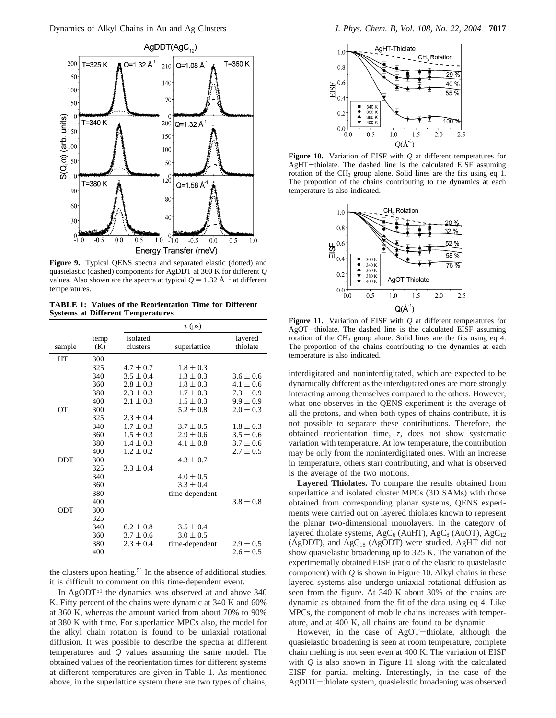

**Figure 9.** Typical QENS spectra and separated elastic (dotted) and quasielastic (dashed) components for AgDDT at 360 K for different *Q* values. Also shown are the spectra at typical  $Q = 1.32 \text{ Å}^{-1}$  at different temperatures.

**TABLE 1: Values of the Reorientation Time for Different Systems at Different Temperatures**

|      |               | $\tau$ (ps)   |                                  |
|------|---------------|---------------|----------------------------------|
| temp | isolated      |               | layered                          |
| (K)  | clusters      | superlattice  | thiolate                         |
| 300  |               |               |                                  |
| 325  | $4.7 \pm 0.7$ | $1.8 \pm 0.3$ |                                  |
| 340  | $3.5 \pm 0.4$ | $1.3 \pm 0.3$ | $3.6 \pm 0.6$                    |
| 360  | $2.8 \pm 0.3$ | $1.8 \pm 0.3$ | $4.1 \pm 0.6$                    |
| 380  | $2.3 \pm 0.3$ | $1.7 \pm 0.3$ | $7.3 \pm 0.9$                    |
| 400  | $2.1 \pm 0.3$ | $1.5 \pm 0.3$ | $9.9 \pm 0.9$                    |
| 300  |               | $5.2 \pm 0.8$ | $2.0 \pm 0.3$                    |
| 325  | $2.3 \pm 0.4$ |               |                                  |
| 340  | $1.7 \pm 0.3$ | $3.7 \pm 0.5$ | $1.8 \pm 0.3$                    |
| 360  | $1.5 \pm 0.3$ | $2.9 \pm 0.6$ | $3.5 \pm 0.6$                    |
| 380  | $1.4 \pm 0.3$ | $4.1 \pm 0.8$ | $3.7 \pm 0.6$                    |
| 400  | $1.2 \pm 0.2$ |               | $2.7 \pm 0.5$                    |
| 300  |               | $4.3 \pm 0.7$ |                                  |
| 325  | $3.3 \pm 0.4$ |               |                                  |
| 340  |               | $4.0 \pm 0.5$ |                                  |
| 360  |               | $3.3 \pm 0.4$ |                                  |
| 380  |               |               |                                  |
| 400  |               |               | $3.8 \pm 0.8$                    |
| 300  |               |               |                                  |
| 325  |               |               |                                  |
| 340  | $6.2 \pm 0.8$ | $3.5 \pm 0.4$ |                                  |
| 360  | $3.7 \pm 0.6$ | $3.0 \pm 0.5$ |                                  |
| 380  | $2.3 \pm 0.4$ |               | $2.9 \pm 0.5$                    |
| 400  |               |               | $2.6 \pm 0.5$                    |
|      |               |               | time-dependent<br>time-dependent |

the clusters upon heating.<sup>51</sup> In the absence of additional studies, it is difficult to comment on this time-dependent event.

In AgODT<sup>51</sup> the dynamics was observed at and above 340 K. Fifty percent of the chains were dynamic at 340 K and 60% at 360 K, whereas the amount varied from about 70% to 90% at 380 K with time. For superlattice MPCs also, the model for the alkyl chain rotation is found to be uniaxial rotational diffusion. It was possible to describe the spectra at different temperatures and *Q* values assuming the same model. The obtained values of the reorientation times for different systems at different temperatures are given in Table 1. As mentioned above, in the superlattice system there are two types of chains,



**Figure 10.** Variation of EISF with *Q* at different temperatures for AgHT-thiolate. The dashed line is the calculated EISF assuming rotation of the  $CH_3$  group alone. Solid lines are the fits using eq 1. The proportion of the chains contributing to the dynamics at each temperature is also indicated.



**Figure 11.** Variation of EISF with *Q* at different temperatures for AgOT-thiolate. The dashed line is the calculated EISF assuming rotation of the CH<sub>3</sub> group alone. Solid lines are the fits using eq 4. The proportion of the chains contributing to the dynamics at each temperature is also indicated.

interdigitated and noninterdigitated, which are expected to be dynamically different as the interdigitated ones are more strongly interacting among themselves compared to the others. However, what one observes in the QENS experiment is the average of all the protons, and when both types of chains contribute, it is not possible to separate these contributions. Therefore, the obtained reorientation time, *τ*, does not show systematic variation with temperature. At low temperature, the contribution may be only from the noninterdigitated ones. With an increase in temperature, others start contributing, and what is observed is the average of the two motions.

**Layered Thiolates.** To compare the results obtained from superlattice and isolated cluster MPCs (3D SAMs) with those obtained from corresponding planar systems, QENS experiments were carried out on layered thiolates known to represent the planar two-dimensional monolayers. In the category of layered thiolate systems,  $AgC_6$  (AuHT),  $AgC_8$  (AuOT),  $AgC_{12}$ (AgDDT), and  $AgC_{18}$  (AgODT) were studied. AgHT did not show quasielastic broadening up to 325 K. The variation of the experimentally obtained EISF (ratio of the elastic to quasielastic component) with *Q* is shown in Figure 10. Alkyl chains in these layered systems also undergo uniaxial rotational diffusion as seen from the figure. At 340 K about 30% of the chains are dynamic as obtained from the fit of the data using eq 4. Like MPCs, the component of mobile chains increases with temperature, and at 400 K, all chains are found to be dynamic.

However, in the case of AgOT-thiolate, although the quasielastic broadening is seen at room temperature, complete chain melting is not seen even at 400 K. The variation of EISF with *Q* is also shown in Figure 11 along with the calculated EISF for partial melting. Interestingly, in the case of the AgDDT-thiolate system, quasielastic broadening was observed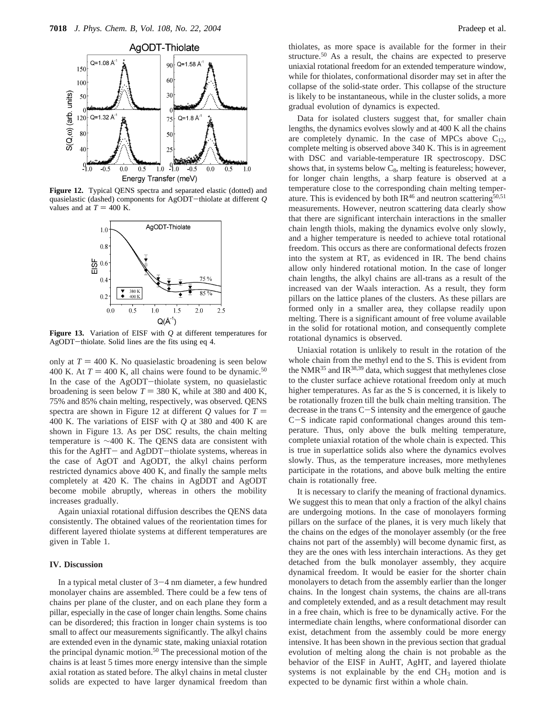

**Figure 12.** Typical QENS spectra and separated elastic (dotted) and quasielastic (dashed) components for AgODT-thiolate at different *<sup>Q</sup>* values and at  $T = 400$  K.



**Figure 13.** Variation of EISF with *Q* at different temperatures for AgODT-thiolate. Solid lines are the fits using eq 4.

only at  $T = 400$  K. No quasielastic broadening is seen below 400 K. At  $T = 400$  K, all chains were found to be dynamic.<sup>50</sup> In the case of the AgODT-thiolate system, no quasielastic broadening is seen below  $T = 380$  K, while at 380 and 400 K, 75% and 85% chain melting, respectively, was observed. QENS spectra are shown in Figure 12 at different  $Q$  values for  $T =$ 400 K. The variations of EISF with *Q* at 380 and 400 K are shown in Figure 13. As per DSC results, the chain melting temperature is ∼400 K. The QENS data are consistent with this for the AgHT- and AgDDT-thiolate systems, whereas in the case of AgOT and AgODT, the alkyl chains perform restricted dynamics above 400 K, and finally the sample melts completely at 420 K. The chains in AgDDT and AgODT become mobile abruptly, whereas in others the mobility increases gradually.

Again uniaxial rotational diffusion describes the QENS data consistently. The obtained values of the reorientation times for different layered thiolate systems at different temperatures are given in Table 1.

## **IV. Discussion**

In a typical metal cluster of  $3-4$  nm diameter, a few hundred monolayer chains are assembled. There could be a few tens of chains per plane of the cluster, and on each plane they form a pillar, especially in the case of longer chain lengths. Some chains can be disordered; this fraction in longer chain systems is too small to affect our measurements significantly. The alkyl chains are extended even in the dynamic state, making uniaxial rotation the principal dynamic motion.<sup>50</sup> The precessional motion of the chains is at least 5 times more energy intensive than the simple axial rotation as stated before. The alkyl chains in metal cluster solids are expected to have larger dynamical freedom than

thiolates, as more space is available for the former in their structure.50 As a result, the chains are expected to preserve uniaxial rotational freedom for an extended temperature window, while for thiolates, conformational disorder may set in after the collapse of the solid-state order. This collapse of the structure is likely to be instantaneous, while in the cluster solids, a more gradual evolution of dynamics is expected.

Data for isolated clusters suggest that, for smaller chain lengths, the dynamics evolves slowly and at 400 K all the chains are completely dynamic. In the case of MPCs above  $C_{12}$ , complete melting is observed above 340 K. This is in agreement with DSC and variable-temperature IR spectroscopy. DSC shows that, in systems below  $C_8$ , melting is featureless; however, for longer chain lengths, a sharp feature is observed at a temperature close to the corresponding chain melting temperature. This is evidenced by both IR<sup>46</sup> and neutron scattering<sup>50,51</sup> measurements. However, neutron scattering data clearly show that there are significant interchain interactions in the smaller chain length thiols, making the dynamics evolve only slowly, and a higher temperature is needed to achieve total rotational freedom. This occurs as there are conformational defects frozen into the system at RT, as evidenced in IR. The bend chains allow only hindered rotational motion. In the case of longer chain lengths, the alkyl chains are all-trans as a result of the increased van der Waals interaction. As a result, they form pillars on the lattice planes of the clusters. As these pillars are formed only in a smaller area, they collapse readily upon melting. There is a significant amount of free volume available in the solid for rotational motion, and consequently complete rotational dynamics is observed.

Uniaxial rotation is unlikely to result in the rotation of the whole chain from the methyl end to the S. This is evident from the NMR<sup>35</sup> and IR<sup>38,39</sup> data, which suggest that methylenes close to the cluster surface achieve rotational freedom only at much higher temperatures. As far as the S is concerned, it is likely to be rotationally frozen till the bulk chain melting transition. The decrease in the trans C-S intensity and the emergence of gauche <sup>C</sup>-S indicate rapid conformational changes around this temperature. Thus, only above the bulk melting temperature, complete uniaxial rotation of the whole chain is expected. This is true in superlattice solids also where the dynamics evolves slowly. Thus, as the temperature increases, more methylenes participate in the rotations, and above bulk melting the entire chain is rotationally free.

It is necessary to clarify the meaning of fractional dynamics. We suggest this to mean that only a fraction of the alkyl chains are undergoing motions. In the case of monolayers forming pillars on the surface of the planes, it is very much likely that the chains on the edges of the monolayer assembly (or the free chains not part of the assembly) will become dynamic first, as they are the ones with less interchain interactions. As they get detached from the bulk monolayer assembly, they acquire dynamical freedom. It would be easier for the shorter chain monolayers to detach from the assembly earlier than the longer chains. In the longest chain systems, the chains are all-trans and completely extended, and as a result detachment may result in a free chain, which is free to be dynamically active. For the intermediate chain lengths, where conformational disorder can exist, detachment from the assembly could be more energy intensive. It has been shown in the previous section that gradual evolution of melting along the chain is not probable as the behavior of the EISF in AuHT, AgHT, and layered thiolate systems is not explainable by the end  $CH<sub>3</sub>$  motion and is expected to be dynamic first within a whole chain.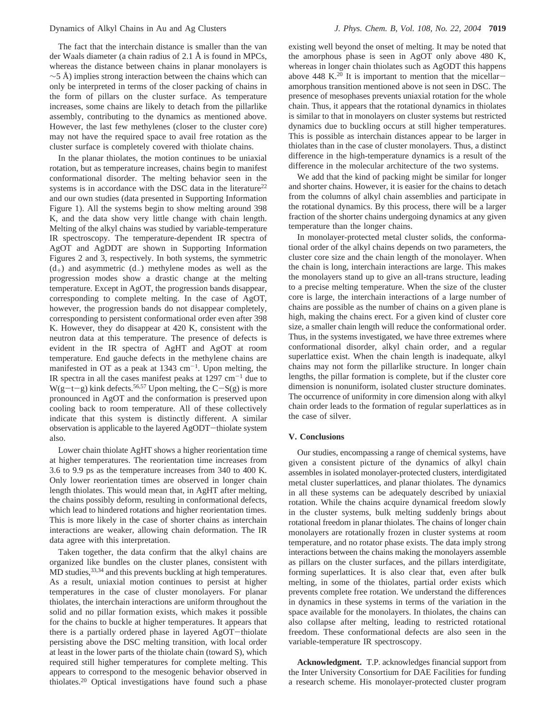The fact that the interchain distance is smaller than the van der Waals diameter (a chain radius of 2.1 Å is found in MPCs, whereas the distance between chains in planar monolayers is  $\sim$ 5 Å) implies strong interaction between the chains which can only be interpreted in terms of the closer packing of chains in the form of pillars on the cluster surface. As temperature increases, some chains are likely to detach from the pillarlike assembly, contributing to the dynamics as mentioned above. However, the last few methylenes (closer to the cluster core) may not have the required space to avail free rotation as the cluster surface is completely covered with thiolate chains.

In the planar thiolates, the motion continues to be uniaxial rotation, but as temperature increases, chains begin to manifest conformational disorder. The melting behavior seen in the systems is in accordance with the DSC data in the literature<sup>22</sup> and our own studies (data presented in Supporting Information Figure 1). All the systems begin to show melting around 398 K, and the data show very little change with chain length. Melting of the alkyl chains was studied by variable-temperature IR spectroscopy. The temperature-dependent IR spectra of AgOT and AgDDT are shown in Supporting Information Figures 2 and 3, respectively. In both systems, the symmetric  $(d_{+})$  and asymmetric  $(d_{-})$  methylene modes as well as the progression modes show a drastic change at the melting temperature. Except in AgOT, the progression bands disappear, corresponding to complete melting. In the case of AgOT, however, the progression bands do not disappear completely, corresponding to persistent conformational order even after 398 K. However, they do disappear at 420 K, consistent with the neutron data at this temperature. The presence of defects is evident in the IR spectra of AgHT and AgOT at room temperature. End gauche defects in the methylene chains are manifested in OT as a peak at  $1343 \text{ cm}^{-1}$ . Upon melting, the IR spectra in all the cases manifest peaks at  $1297 \text{ cm}^{-1}$  due to  $W(g-t-g)$  kink defects.<sup>56,57</sup> Upon melting, the C-S(g) is more pronounced in AgOT and the conformation is preserved upon cooling back to room temperature. All of these collectively indicate that this system is distinctly different. A similar observation is applicable to the layered AgODT-thiolate system also.

Lower chain thiolate AgHT shows a higher reorientation time at higher temperatures. The reorientation time increases from 3.6 to 9.9 ps as the temperature increases from 340 to 400 K. Only lower reorientation times are observed in longer chain length thiolates. This would mean that, in AgHT after melting, the chains possibly deform, resulting in conformational defects, which lead to hindered rotations and higher reorientation times. This is more likely in the case of shorter chains as interchain interactions are weaker, allowing chain deformation. The IR data agree with this interpretation.

Taken together, the data confirm that the alkyl chains are organized like bundles on the cluster planes, consistent with MD studies,  $33,34$  and this prevents buckling at high temperatures. As a result, uniaxial motion continues to persist at higher temperatures in the case of cluster monolayers. For planar thiolates, the interchain interactions are uniform throughout the solid and no pillar formation exists, which makes it possible for the chains to buckle at higher temperatures. It appears that there is a partially ordered phase in layered AgOT-thiolate persisting above the DSC melting transition, with local order at least in the lower parts of the thiolate chain (toward S), which required still higher temperatures for complete melting. This appears to correspond to the mesogenic behavior observed in thiolates.20 Optical investigations have found such a phase

existing well beyond the onset of melting. It may be noted that the amorphous phase is seen in AgOT only above 480 K, whereas in longer chain thiolates such as AgODT this happens above 448 K.<sup>20</sup> It is important to mention that the micellaramorphous transition mentioned above is not seen in DSC. The presence of mesophases prevents uniaxial rotation for the whole chain. Thus, it appears that the rotational dynamics in thiolates is similar to that in monolayers on cluster systems but restricted dynamics due to buckling occurs at still higher temperatures. This is possible as interchain distances appear to be larger in thiolates than in the case of cluster monolayers. Thus, a distinct difference in the high-temperature dynamics is a result of the difference in the molecular architecture of the two systems.

We add that the kind of packing might be similar for longer and shorter chains. However, it is easier for the chains to detach from the columns of alkyl chain assemblies and participate in the rotational dynamics. By this process, there will be a larger fraction of the shorter chains undergoing dynamics at any given temperature than the longer chains.

In monolayer-protected metal cluster solids, the conformational order of the alkyl chains depends on two parameters, the cluster core size and the chain length of the monolayer. When the chain is long, interchain interactions are large. This makes the monolayers stand up to give an all-trans structure, leading to a precise melting temperature. When the size of the cluster core is large, the interchain interactions of a large number of chains are possible as the number of chains on a given plane is high, making the chains erect. For a given kind of cluster core size, a smaller chain length will reduce the conformational order. Thus, in the systems investigated, we have three extremes where conformational disorder, alkyl chain order, and a regular superlattice exist. When the chain length is inadequate, alkyl chains may not form the pillarlike structure. In longer chain lengths, the pillar formation is complete, but if the cluster core dimension is nonuniform, isolated cluster structure dominates. The occurrence of uniformity in core dimension along with alkyl chain order leads to the formation of regular superlattices as in the case of silver.

#### **V. Conclusions**

Our studies, encompassing a range of chemical systems, have given a consistent picture of the dynamics of alkyl chain assembles in isolated monolayer-protected clusters, interdigitated metal cluster superlattices, and planar thiolates. The dynamics in all these systems can be adequately described by uniaxial rotation. While the chains acquire dynamical freedom slowly in the cluster systems, bulk melting suddenly brings about rotational freedom in planar thiolates. The chains of longer chain monolayers are rotationally frozen in cluster systems at room temperature, and no rotator phase exists. The data imply strong interactions between the chains making the monolayers assemble as pillars on the cluster surfaces, and the pillars interdigitate, forming superlattices. It is also clear that, even after bulk melting, in some of the thiolates, partial order exists which prevents complete free rotation. We understand the differences in dynamics in these systems in terms of the variation in the space available for the monolayers. In thiolates, the chains can also collapse after melting, leading to restricted rotational freedom. These conformational defects are also seen in the variable-temperature IR spectroscopy.

**Acknowledgment.** T.P. acknowledges financial support from the Inter University Consortium for DAE Facilities for funding a research scheme. His monolayer-protected cluster program